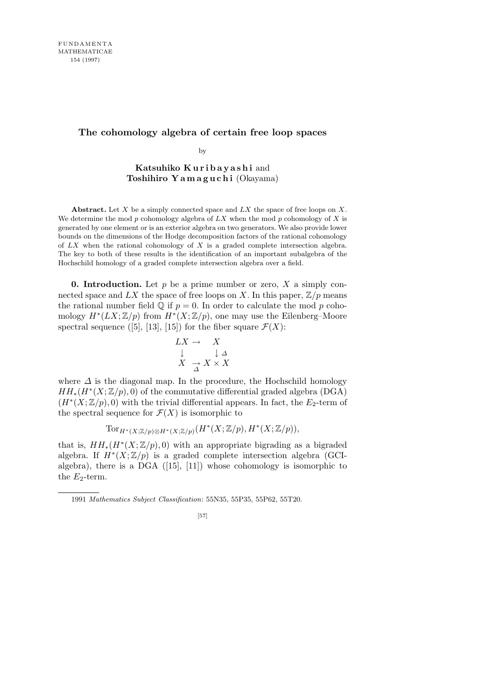## **The cohomology algebra of certain free loop spaces**

by

**Katsuhiko K u r i b a y a s h i** and **Toshihiro Y a m a g u c h i** (Okayama)

**Abstract.** Let *X* be a simply connected space and *LX* the space of free loops on *X*. We determine the mod *p* cohomology algebra of *LX* when the mod *p* cohomology of *X* is generated by one element or is an exterior algebra on two generators. We also provide lower bounds on the dimensions of the Hodge decomposition factors of the rational cohomology of *LX* when the rational cohomology of *X* is a graded complete intersection algebra. The key to both of these results is the identification of an important subalgebra of the Hochschild homology of a graded complete intersection algebra over a field.

**0. Introduction.** Let *p* be a prime number or zero, *X* a simply connected space and  $LX$  the space of free loops on X. In this paper,  $\mathbb{Z}/p$  means the rational number field  $\mathbb{Q}$  if  $p = 0$ . In order to calculate the mod p cohomology  $H^*(LX; \mathbb{Z}/p)$  from  $H^*(X; \mathbb{Z}/p)$ , one may use the Eilenberg–Moore spectral sequence ([5], [13], [15]) for the fiber square  $\mathcal{F}(X)$ :

$$
\begin{array}{ccc}\nLX \to & X \\
\downarrow & & \downarrow \Delta \\
X & \to & X \times X\n\end{array}
$$

where  $\Delta$  is the diagonal map. In the procedure, the Hochschild homology  $HH_*(H^*(X;\mathbb{Z}/p),0)$  of the commutative differential graded algebra (DGA)  $(H^*(X;\mathbb{Z}/p),0)$  with the trivial differential appears. In fact, the  $E_2$ -term of the spectral sequence for  $\mathcal{F}(X)$  is isomorphic to

$$
\operatorname{Tor}_{H^*(X;\mathbb{Z}/p)\otimes H^*(X;\mathbb{Z}/p)}(H^*(X;\mathbb{Z}/p),H^*(X;\mathbb{Z}/p)),
$$

that is,  $HH_*(H^*(X;\mathbb{Z}/p),0)$  with an appropriate bigrading as a bigraded algebra. If  $H^*(X;\mathbb{Z}/p)$  is a graded complete intersection algebra (GCIalgebra), there is a DGA ([15], [11]) whose cohomology is isomorphic to the  $E_2$ -term.

<sup>1991</sup> *Mathematics Subject Classification*: 55N35, 55P35, 55P62, 55T20.

<sup>[57]</sup>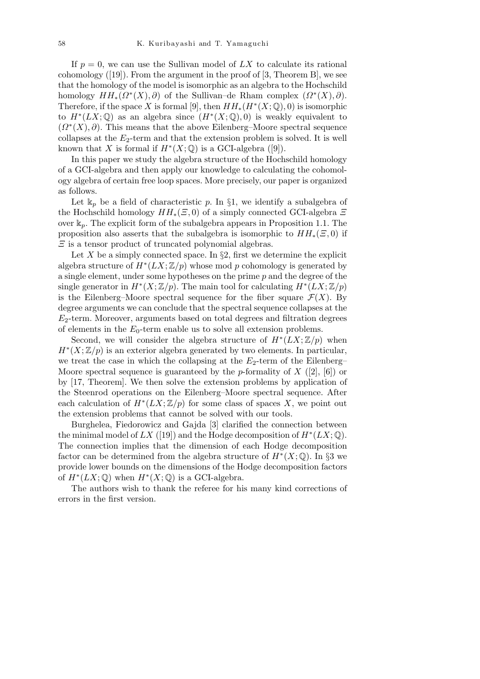If  $p = 0$ , we can use the Sullivan model of  $LX$  to calculate its rational cohomology  $([19])$ . From the argument in the proof of  $[3,$  Theorem B, we see that the homology of the model is isomorphic as an algebra to the Hochschild homology  $HH_*(\Omega^*(X), \partial)$  of the Sullivan–de Rham complex  $(\Omega^*(X), \partial)$ . Therefore, if the space *X* is formal [9], then  $HH_*(H^*(X; \mathbb{Q}), 0)$  is isomorphic to  $H^*(LX; \mathbb{Q})$  as an algebra since  $(H^*(X; \mathbb{Q}), 0)$  is weakly equivalent to  $(\Omega^*(X), \partial)$ . This means that the above Eilenberg–Moore spectral sequence collapses at the  $E_2$ -term and that the extension problem is solved. It is well known that *X* is formal if  $H^*(X; \mathbb{Q})$  is a GCI-algebra ([9]).

In this paper we study the algebra structure of the Hochschild homology of a GCI-algebra and then apply our knowledge to calculating the cohomology algebra of certain free loop spaces. More precisely, our paper is organized as follows.

Let  $\mathbb{k}_p$  be a field of characteristic p. In §1, we identify a subalgebra of the Hochschild homology *HH∗*(*Ξ,* 0) of a simply connected GCI-algebra *Ξ* over  $\mathbb{k}_p$ . The explicit form of the subalgebra appears in Proposition 1.1. The proposition also asserts that the subalgebra is isomorphic to  $HH_*(E, 0)$  if *Ξ* is a tensor product of truncated polynomial algebras.

Let X be a simply connected space. In  $\S 2$ , first we determine the explicit algebra structure of  $H^*(LX; \mathbb{Z}/p)$  whose mod p cohomology is generated by a single element, under some hypotheses on the prime *p* and the degree of the single generator in  $H^*(X; \mathbb{Z}/p)$ . The main tool for calculating  $H^*(LX; \mathbb{Z}/p)$ is the Eilenberg–Moore spectral sequence for the fiber square  $\mathcal{F}(X)$ . By degree arguments we can conclude that the spectral sequence collapses at the *E*2-term. Moreover, arguments based on total degrees and filtration degrees of elements in the *E*0-term enable us to solve all extension problems.

Second, we will consider the algebra structure of  $H^*(LX;\mathbb{Z}/p)$  when  $H^*(X;\mathbb{Z}/p)$  is an exterior algebra generated by two elements. In particular, we treat the case in which the collapsing at the  $E_2$ -term of the Eilenberg– Moore spectral sequence is guaranteed by the *p*-formality of *X* ([2], [6]) or by [17, Theorem]. We then solve the extension problems by application of the Steenrod operations on the Eilenberg–Moore spectral sequence. After each calculation of  $H^*(LX;\mathbb{Z}/p)$  for some class of spaces X, we point out the extension problems that cannot be solved with our tools.

Burghelea, Fiedorowicz and Gajda [3] clarified the connection between the minimal model of  $LX$  ([19]) and the Hodge decomposition of  $H^*(LX; \mathbb{Q})$ . The connection implies that the dimension of each Hodge decomposition factor can be determined from the algebra structure of  $H^*(X; \mathbb{Q})$ . In §3 we provide lower bounds on the dimensions of the Hodge decomposition factors of  $H^*(LX; \mathbb{Q})$  when  $H^*(X; \mathbb{Q})$  is a GCI-algebra.

The authors wish to thank the referee for his many kind corrections of errors in the first version.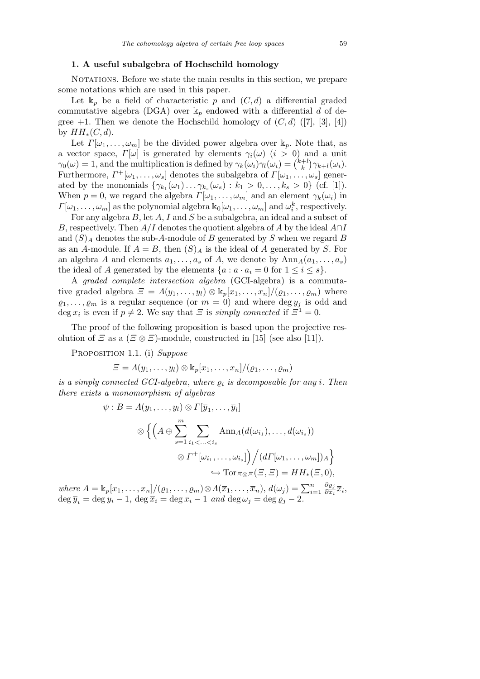## **1. A useful subalgebra of Hochschild homology**

NOTATIONS. Before we state the main results in this section, we prepare some notations which are used in this paper.

Let  $\mathbb{k}_p$  be a field of characteristic p and  $(C, d)$  a differential graded commutative algebra (DGA) over  $\mathbb{k}_p$  endowed with a differential *d* of degree  $+1$ . Then we denote the Hochschild homology of  $(C, d)$  ([7], [3], [4]) by  $HH_*(C, d)$ .

Let  $\Gamma[\omega_1,\ldots,\omega_m]$  be the divided power algebra over  $\mathbb{k}_p$ . Note that, as a vector space,  $\Gamma[\omega]$  is generated by elements  $\gamma_i(\omega)$  (*i* > 0) and a unit *γ*<sub>0</sub>(*ω*) = 1, and the multiplication is defined by  $\gamma_k(\omega)$  (*i* > 0) a  $\gamma_0(\omega) = 1$ , and the multiplication is defined by  $\gamma_k(\omega_i)\gamma_l(\omega_i) = \binom{k+l}{k}$  ${k+l \choose k} \gamma_{k+l}(\omega_i).$ Furthermore,  $\Gamma^+[\omega_1,\ldots,\omega_s]$  denotes the subalgebra of  $\Gamma[\omega_1,\ldots,\omega_s]$  generated by the monomials  $\{\gamma_{k_1}(\omega_1) \dots \gamma_{k_s}(\omega_s) : k_1 > 0, \dots, k_s > 0\}$  (cf. [1]). When  $p = 0$ , we regard the algebra  $\Gamma[\omega_1, \ldots, \omega_m]$  and an element  $\gamma_k(\omega_i)$  in  $\Gamma[\omega_1,\ldots,\omega_m]$  as the polynomial algebra  $\mathbb{k}_0[\omega_1,\ldots,\omega_m]$  and  $\omega_i^k$ , respectively.

For any algebra *B*, let *A*, *I* and *S* be a subalgebra, an ideal and a subset of *B*, respectively. Then *A/I* denotes the quotient algebra of *A* by the ideal *A∩I* and (*S*)*<sup>A</sup>* denotes the sub-*A*-module of *B* generated by *S* when we regard *B* as an *A*-module. If  $A = B$ , then  $(S)_{A}$  is the ideal of *A* generated by *S*. For an algebra *A* and elements  $a_1, \ldots, a_s$  of *A*, we denote by  $\text{Ann}_A(a_1, \ldots, a_s)$ the ideal of *A* generated by the elements  $\{a : a \cdot a_i = 0 \text{ for } 1 \leq i \leq s\}.$ 

A *graded complete intersection algebra* (GCI-algebra) is a commutative graded algebra  $\mathcal{Z} = \Lambda(y_1, \ldots, y_l) \otimes \mathbb{k}_p[x_1, \ldots, x_n]/(\varrho_1, \ldots, \varrho_m)$  where  $\varrho_1, \ldots, \varrho_m$  is a regular sequence (or  $m = 0$ ) and where deg  $y_j$  is odd and deg  $x_i$  is even if  $p \neq 2$ . We say that  $\Xi$  is *simply connected* if  $\Xi^1 = 0$ .

The proof of the following proposition is based upon the projective resolution of *Ξ* as a  $(\Xi \otimes \Xi)$ -module, constructed in [15] (see also [11]).

Proposition 1.1. (i) *Suppose*

$$
\Xi = \Lambda(y_1,\ldots,y_l) \otimes \mathrm{k}_p[x_1,\ldots,x_n]/(\varrho_1,\ldots,\varrho_m)
$$

*is a simply connected GCI-algebra, where*  $\rho_i$  *is decomposable for any i. Then there exists a monomorphism of algebras*

$$
\psi : B = \Lambda(y_1, \dots, y_l) \otimes \Gamma[\overline{y}_1, \dots, \overline{y}_l]
$$
  

$$
\otimes \left\{ \left( A \oplus \sum_{s=1}^m \sum_{i_1 < \dots < i_s} \text{Ann}_{A}(d(\omega_{i_1}), \dots, d(\omega_{i_s})) \right) \right\}
$$
  

$$
\otimes \Gamma^+[\omega_{i_1}, \dots, \omega_{i_s}] \right) / (d\Gamma[\omega_1, \dots, \omega_m])_A \}
$$
  

$$
\hookrightarrow \text{Tor}_{\Xi \otimes \Xi}(\Xi, \Xi) = HH_*(\Xi, 0),
$$

 $$ *∂%<sup>j</sup>*  $\frac{\partial \varrho_j}{\partial x_i} \overline{x}_i,$  $\deg \overline{y}_i = \deg y_i - 1$ ,  $\deg \overline{x}_i = \deg x_i - 1$  *and*  $\deg \omega_i = \deg \varrho_i - 2$ .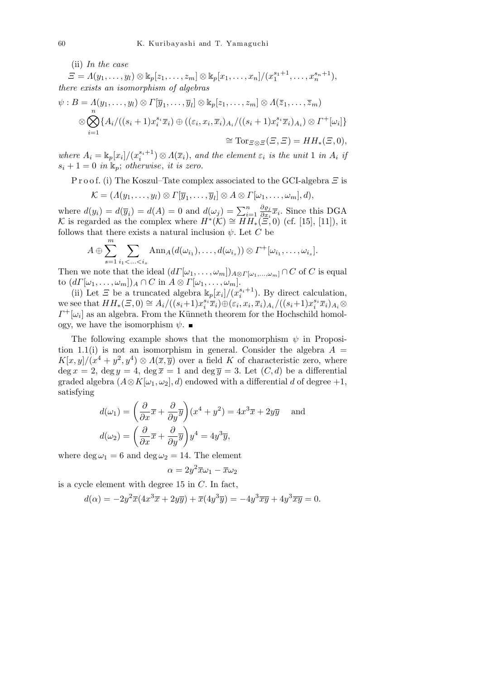(ii) *In the case*

 $\overline{m}$ 

 $E = A(y_1, ..., y_l) \otimes k_p[z_1, ..., z_m] \otimes k_p[x_1, ..., x_n]/(x_1^{s_1+1}, ..., x_n^{s_n+1}),$ *there exists an isomorphism of algebras*

$$
\psi : B = \Lambda(y_1, \dots, y_l) \otimes \Gamma[\overline{y}_1, \dots, \overline{y}_l] \otimes \mathbb{k}_p[z_1, \dots, z_m] \otimes \Lambda(\overline{z}_1, \dots, \overline{z}_m)
$$
  

$$
\otimes \bigotimes_{i=1}^n \{A_i/((s_i+1)x_i^{s_i}\overline{x}_i) \oplus ((\varepsilon_i, x_i, \overline{x}_i)_{A_i}/((s_i+1)x_i^{s_i}\overline{x}_i)_{A_i}) \otimes \Gamma^+[\omega_i]\}
$$
  

$$
\cong \text{Tor}_{\Xi \otimes \Xi}(\Xi, \Xi) = HH_*(\Xi, 0),
$$

where  $A_i = \mathbb{k}_p[x_i]/(x_i^{s_i+1}) \otimes \Lambda(\overline{x}_i)$ , and the element  $\varepsilon_i$  is the unit 1 in  $A_i$  if  $s_i + 1 = 0$  *in*  $\mathbb{k}_p$ ; *otherwise*, *it is zero.* 

P r o o f. (i) The Koszul–Tate complex associated to the GCI-algebra *Ξ* is

$$
\mathcal{K} = (\Lambda(y_1,\ldots,y_l) \otimes \Gamma[\overline{y}_1,\ldots,\overline{y}_l] \otimes A \otimes \Gamma[\omega_1,\ldots,\omega_m],d),
$$

where  $d(y_i) = d(\overline{y}_i) = d(A) = 0$  and  $d(\omega_j) = \sum_{i=1}^n$ *∂%<sup>j</sup>*  $\frac{\partial \varrho_j}{\partial x_i} \overline{x}_i$ . Since this DGA *K* is regarded as the complex where  $H^*(K) \cong \overline{HH}_*(E, 0)$  (cf. [15], [11]), it follows that there exists a natural inclusion  $\psi$ . Let *C* be

$$
A \oplus \sum_{s=1}^m \sum_{i_1 < \ldots < i_s} \text{Ann}_A(d(\omega_{i_1}), \ldots, d(\omega_{i_s})) \otimes \Gamma^+[\omega_{i_1}, \ldots, \omega_{i_s}].
$$

Then we note that the ideal  $(d\Gamma[\omega_1,\ldots,\omega_m])_{A\otimes\Gamma[\omega_1,\ldots,\omega_m]}\cap C$  of *C* is equal  $\text{to } (d\Gamma[\omega_1,\ldots,\omega_m])_A \cap C \text{ in } A \otimes \Gamma[\omega_1,\ldots,\omega_m].$ 

(ii) Let *Ξ* be a truncated algebra  $\frac{k_p[x_i]}{x_i^s}$ . By direct calculation, we see that  $HH_*(\Xi,0) \cong A_i/((s_i+1)x_i^{s_i}\overline{x}_i) \oplus (\varepsilon_i,x_i,\overline{x}_i)_{A_i}/((s_i+1)x_i^{s_i}\overline{x}_i)_{A_i} \otimes$  $\Gamma^+[\omega_i]$  as an algebra. From the Künneth theorem for the Hochschild homology, we have the isomorphism  $\psi$ .

The following example shows that the monomorphism  $\psi$  in Proposition 1.1(i) is not an isomorphism in general. Consider the algebra  $A =$  $K[x, y]/(x^4 + y^2, y^4) \otimes \Lambda(\bar{x}, \bar{y})$  over a field *K* of characteristic zero, where  $\deg x = 2$ ,  $\deg y = 4$ ,  $\deg \overline{x} = 1$  and  $\deg \overline{y} = 3$ . Let  $(C, d)$  be a differential graded algebra  $(A \otimes K[\omega_1, \omega_2], d)$  endowed with a differential *d* of degree +1, satisfying  $\mathbf{r}$ 

$$
d(\omega_1) = \left(\frac{\partial}{\partial x}\overline{x} + \frac{\partial}{\partial y}\overline{y}\right)(x^4 + y^2) = 4x^3\overline{x} + 2y\overline{y} \text{ and}
$$

$$
d(\omega_2) = \left(\frac{\partial}{\partial x}\overline{x} + \frac{\partial}{\partial y}\overline{y}\right)y^4 = 4y^3\overline{y},
$$

where  $\deg \omega_1 = 6$  and  $\deg \omega_2 = 14$ . The element

$$
\alpha = 2y^2 \overline{x} \omega_1 - \overline{x} \omega_2
$$

is a cycle element with degree 15 in *C*. In fact,

$$
d(\alpha) = -2y^2\overline{x}(4x^3\overline{x} + 2y\overline{y}) + \overline{x}(4y^3\overline{y}) = -4y^3\overline{xy} + 4y^3\overline{xy} = 0.
$$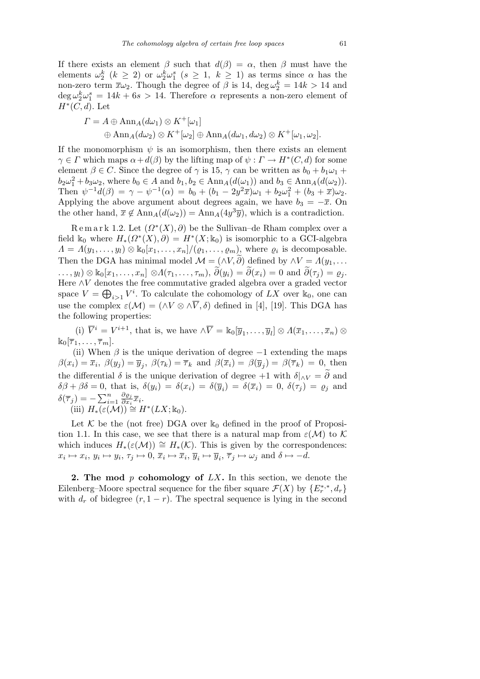If there exists an element  $\beta$  such that  $d(\beta) = \alpha$ , then  $\beta$  must have the elements  $\omega_2^k$  ( $k \geq 2$ ) or  $\omega_2^k \omega_1^s$  ( $s \geq 1$ ,  $k \geq 1$ ) as terms since  $\alpha$  has the non-zero term  $\bar{x}\omega_2$ . Though the degree of  $\beta$  is 14,  $\deg \omega_2^k = 14k > 14$  and  $\deg \omega_2^k \omega_1^s = 14k + 6s > 14$ . Therefore  $\alpha$  represents a non-zero element of *H<sup>∗</sup>* (*C, d*). Let

$$
\begin{aligned} \Gamma &= A \oplus \text{Ann}_A(d\omega_1) \otimes K^+[\omega_1] \\ \oplus \text{Ann}_A(d\omega_2) \otimes K^+[\omega_2] \oplus \text{Ann}_A(d\omega_1, d\omega_2) \otimes K^+[\omega_1, \omega_2]. \end{aligned}
$$

If the monomorphism  $\psi$  is an isomorphism, then there exists an element  $\gamma \in \Gamma$  which maps  $\alpha + d(\beta)$  by the lifting map of  $\psi : \Gamma \to H^*(C, d)$  for some element  $\beta \in C$ . Since the degree of  $\gamma$  is 15,  $\gamma$  can be written as  $b_0 + b_1 \omega_1 +$  $b_2\omega_1^2 + b_3\omega_2$ , where  $b_0 \in A$  and  $b_1, b_2 \in \text{Ann}_A(d(\omega_1))$  and  $b_3 \in \text{Ann}_A(d(\omega_2))$ . Then  $\psi^{-1}d(\beta) = \gamma - \psi^{-1}(\alpha) = b_0 + (b_1 - 2y^2\bar{x})\omega_1 + b_2\omega_1^2 + (b_3 + \bar{x})\omega_2$ . Applying the above argument about degrees again, we have  $b_3 = -\overline{x}$ . On the other hand,  $\bar{x} \notin \text{Ann}_A(d(\omega_2)) = \text{Ann}_A(4y^3\bar{y})$ , which is a contradiction.

Remark 1.2. Let  $(\Omega^*(X), \partial)$  be the Sullivan–de Rham complex over a field  $\mathbb{k}_0$  where  $H_*(\Omega^*(X), \partial) = H^*(X; \mathbb{k}_0)$  is isomorphic to a GCI-algebra  $\Lambda = \Lambda(y_1, \ldots, y_l) \otimes k_0[x_1, \ldots, x_n]/(\varrho_1, \ldots, \varrho_m)$ , where  $\varrho_i$  is decomposable. Then the DGA has minimal model  $\mathcal{M} = (\land V, \widetilde{\partial})$  defined by  $\land V = \Lambda(y_1, \dots)$  $\ldots, y_l) \otimes \Bbbk_0[x_1, \ldots, x_n] \otimes \Lambda(\tau_1, \ldots, \tau_m), \ \widetilde{\partial}(y_i) = \widetilde{\partial}(x_i) = 0 \text{ and } \widetilde{\partial}(\tau_j) = \varrho_j.$ Here *∧V* denotes the free commutative graded algebra over a graded vector space  $V = \bigoplus_{i>1} V^i$ . To calculate the cohomology of *LX* over  $\mathbb{k}_0$ , one can use the complex  $\varepsilon(\mathcal{M}) = (\wedge V \otimes \wedge \overline{V}, \delta)$  defined in [4], [19]. This DGA has the following properties:

(i)  $\overline{V}^i = V^{i+1}$ , that is, we have  $\wedge \overline{V} = \mathbb{k}_0[\overline{y}_1, \dots, \overline{y}_l] \otimes \Lambda(\overline{x}_1, \dots, \overline{x}_n) \otimes$  $\mathbb{k}_0[\overline{\tau}_1,\ldots,\overline{\tau}_m].$ 

(ii) When  $\beta$  is the unique derivation of degree  $-1$  extending the maps  $\beta(x_i) = \overline{x}_i, \ \beta(y_j) = \overline{y}_j, \ \beta(\tau_k) = \overline{\tau}_k \text{ and } \beta(\overline{x}_i) = \beta(\overline{y}_j) = \beta(\overline{\tau}_k) = 0, \text{ then}$ the differential  $\delta$  is the unique derivation of degree +1 with  $\delta|_{\wedge V} = \widetilde{\partial}$  and  $\delta\beta + \beta\delta = 0$ , that is,  $\delta(y_i) = \delta(x_i) = \delta(\overline{y}_i) = \delta(\overline{x}_i) = 0$ ,  $\delta(\tau_j) = \rho_j$  and  $\delta(\overline{\tau}_j) = -\sum_{i=1}^n$ *i*=1 *∂%<sup>j</sup>*  $\frac{\partial \varrho_j}{\partial x_i} \overline{x}_i.$  $(iii)$   $H_*\left(\varepsilon(\mathcal{M})\right) \cong H^*(LX;\mathbb{k}_0).$ 

Let  $K$  be the (not free) DGA over  $\mathbb{k}_0$  defined in the proof of Proposition 1.1. In this case, we see that there is a natural map from  $\varepsilon(\mathcal{M})$  to  $\mathcal{K}$ which induces  $H_*(\varepsilon(\mathcal{M})) \cong H_*(\mathcal{K})$ . This is given by the correspondences:  $x_i \mapsto x_i, y_i \mapsto y_i, \tau_j \mapsto 0, \overline{x}_i \mapsto \overline{x}_i, \overline{y}_i \mapsto \overline{y}_i, \overline{\tau}_j \mapsto \omega_j \text{ and } \delta \mapsto -d.$ 

**2. The mod** *p* **cohomology of** *LX***.** In this section, we denote the Eilenberg–Moore spectral sequence for the fiber square  $\mathcal{F}(X)$  by  $\{E_r^{*,*}, d_r\}$ with  $d_r$  of bidegree  $(r, 1 - r)$ . The spectral sequence is lying in the second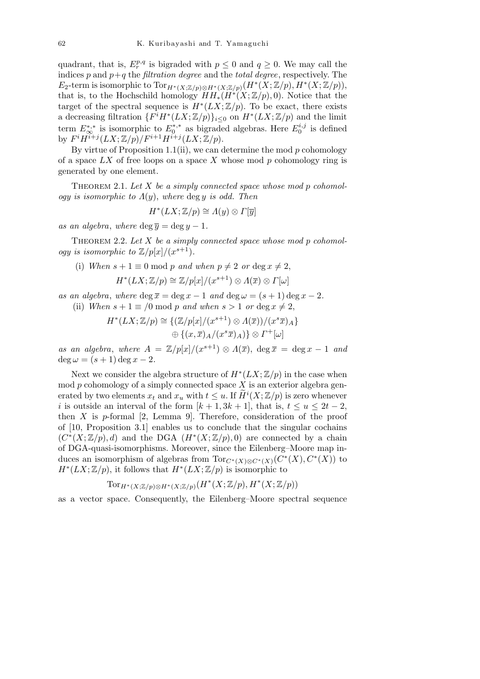quadrant, that is,  $E_r^{p,q}$  is bigraded with  $p \leq 0$  and  $q \geq 0$ . We may call the indices  $p$  and  $p+q$  the *filtration degree* and the *total degree*, respectively. The *E*<sub>2</sub>-term is isomorphic to  $Tor_{H^*(X;\mathbb{Z}/p)\otimes H^*(X;\mathbb{Z}/p)}(H^*(X;\mathbb{Z}/p), H^*(X;\mathbb{Z}/p)),$ that is, to the Hochschild homology  $HH^*(X;\mathbb{Z}/p),0$ . Notice that the target of the spectral sequence is  $H^*(LX;\mathbb{Z}/p)$ . To be exact, there exists a decreasing filtration  ${F^{i}H^{*}(LX;\mathbb{Z}/p)}_{i\leq0}$  on  $H^{*}(LX;\mathbb{Z}/p)$  and the limit term  $E_{\infty}^{*,*}$  is isomorphic to  $E_0^{*,*}$  $E_0^{*,*}$  as bigraded algebras. Here  $E_0^{i,j}$  $i_0^{i,j}$  is defined by  $F^{i}H^{i+j}(LX;\mathbb{Z}/p)/F^{i+1}H^{i+j}(LX;\mathbb{Z}/p).$ 

By virtue of Proposition 1.1(ii), we can determine the mod *p* cohomology of a space *LX* of free loops on a space *X* whose mod *p* cohomology ring is generated by one element.

Theorem 2.1. *Let X be a simply connected space whose mod p cohomology is isomorphic to Λ*(*y*), *where* deg *y is odd. Then*

$$
H^*(LX;\mathbb{Z}/p) \cong \Lambda(y) \otimes \Gamma[\overline{y}]
$$

*as an algebra, where* deg  $\overline{y} = \deg y - 1$ *.* 

THEOREM 2.2. Let X be a simply connected space whose mod p cohomol*ogy is isomorphic to*  $\mathbb{Z}/p[x]/(x^{s+1})$ *.* 

(i) *When*  $s + 1 \equiv 0 \mod p$  *and when*  $p \neq 2$  *or* deg  $x \neq 2$ ,

$$
H^*(LX;\mathbb{Z}/p) \cong \mathbb{Z}/p[x]/(x^{s+1}) \otimes \Lambda(\overline{x}) \otimes \Gamma[\omega]
$$

*as an algebra, where*  $\deg \overline{x} = \deg x - 1$  *and*  $\deg \omega = (s+1) \deg x - 2$ . (ii) *When*  $s + 1 \equiv /0 \mod p$  *and when*  $s > 1$  *or* deg  $x \neq 2$ ,

$$
H^*(LX; \mathbb{Z}/p) \cong \{ (\mathbb{Z}/p[x]/(x^{s+1}) \otimes \Lambda(\overline{x}))/(x^s \overline{x})_A \}
$$
  

$$
\oplus \{ (x, \overline{x})_A/(x^s \overline{x})_A ) \} \otimes \Gamma^+[\omega]
$$

*as an algebra, where*  $A = \mathbb{Z}/p[x]/(x^{s+1}) \otimes A(\overline{x})$ , deg  $\overline{x} = \deg x - 1$  *and*  $\deg \omega = (s+1) \deg x - 2.$ 

Next we consider the algebra structure of  $H^*(LX; \mathbb{Z}/p)$  in the case when mod *p* cohomology of a simply connected space *X* is an exterior algebra generated by two elements  $x_t$  and  $x_u$  with  $t \leq u$ . If  $\widetilde{H}^i(X; \mathbb{Z}/p)$  is zero whenever *i* is outside an interval of the form  $[k+1, 3k+1]$ , that is,  $t \le u \le 2t-2$ , then *X* is *p*-formal [2, Lemma 9]. Therefore, consideration of the proof of [10, Proposition 3.1] enables us to conclude that the singular cochains  $(C^*(X;\mathbb{Z}/p),d)$  and the DGA  $(H^*(X;\mathbb{Z}/p),0)$  are connected by a chain of DGA-quasi-isomorphisms. Moreover, since the Eilenberg–Moore map induces an isomorphism of algebras from  $\text{Tor}_{C^*(X)\otimes C^*(X)}(C^*(X), C^*(X))$  to  $H^*(LX;\mathbb{Z}/p)$ , it follows that  $H^*(LX;\mathbb{Z}/p)$  is isomorphic to

$$
\text{Tor}_{H^*(X;\mathbb{Z}/p)\otimes H^*(X;\mathbb{Z}/p)}(H^*(X;\mathbb{Z}/p),H^*(X;\mathbb{Z}/p))
$$

as a vector space. Consequently, the Eilenberg–Moore spectral sequence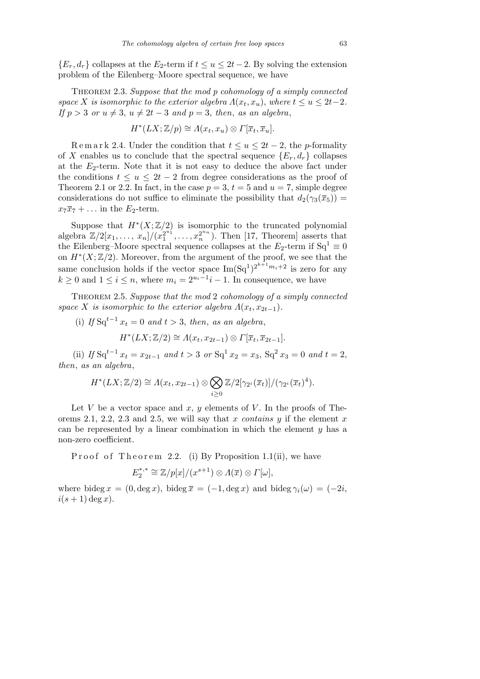${E_r, d_r}$  collapses at the *E*<sub>2</sub>-term if  $t \le u \le 2t - 2$ . By solving the extension problem of the Eilenberg–Moore spectral sequence, we have

Theorem 2.3. *Suppose that the mod p cohomology of a simply connected space X is isomorphic to the exterior algebra*  $\Lambda(x_t, x_u)$ , *where*  $t \leq u \leq 2t-2$ *. If*  $p > 3$  *or*  $u \neq 3$ ,  $u \neq 2t - 3$  *and*  $p = 3$ , *then*, *as an algebra*,

$$
H^*(LX; \mathbb{Z}/p) \cong \Lambda(x_t, x_u) \otimes \Gamma[\overline{x}_t, \overline{x}_u].
$$

Remark 2.4. Under the condition that  $t \leq u \leq 2t - 2$ , the *p*-formality of *X* enables us to conclude that the spectral sequence  ${E_r, d_r}$  collapses at the *E*2-term. Note that it is not easy to deduce the above fact under the conditions  $t \leq u \leq 2t - 2$  from degree considerations as the proof of Theorem 2.1 or 2.2. In fact, in the case  $p = 3$ ,  $t = 5$  and  $u = 7$ , simple degree considerations do not suffice to eliminate the possibility that  $d_2(\gamma_3(\bar{x}_5))$  =  $x_7\overline{x}_7 + \ldots$  in the  $E_2$ -term.

Suppose that  $H^*(X;\mathbb{Z}/2)$  is isomorphic to the truncated polynomial  $\frac{1}{2}\exp\left(\frac{x}{2}x^2 + \frac{x^2}{2}\right)$  $a_1^{2^{u_1}}, \ldots, a_n^{2^{u_n}}$ . Then [17, Theorem] asserts that the Eilenberg–Moore spectral sequence collapses at the  $E_2$ -term if  $Sq^1 \equiv 0$ on  $H^*(X;\mathbb{Z}/2)$ . Moreover, from the argument of the proof, we see that the same conclusion holds if the vector space  $\text{Im}(\text{Sq}^1)^{2^{k+1}m_i+2}$  is zero for any  $k \geq 0$  and  $1 \leq i \leq n$ , where  $m_i = 2^{u_i-1}i-1$ . In consequence, we have

Theorem 2.5. *Suppose that the mod* 2 *cohomology of a simply connected space X is isomorphic to the exterior algebra*  $\Lambda(x_t, x_{2t-1})$ *.* 

(i) If  $Sq^{t-1} x_t = 0$  and  $t > 3$ , then, as an algebra,

$$
H^*(LX; \mathbb{Z}/2) \cong \Lambda(x_t, x_{2t-1}) \otimes \Gamma[\overline{x}_t, \overline{x}_{2t-1}].
$$

(ii) *If* Sq<sup>*t*-1</sup>  $x_t = x_{2t-1}$  and  $t > 3$  or Sq<sup>1</sup>  $x_2 = x_3$ , Sq<sup>2</sup>  $x_3 = 0$  and  $t = 2$ , *then*, *as an algebra*,

$$
H^*(LX;\mathbb{Z}/2) \cong \Lambda(x_t,x_{2t-1}) \otimes \bigotimes_{i\geq 0} \mathbb{Z}/2[\gamma_{2^i}(\overline{x}_t)]/(\gamma_{2^i}(\overline{x}_t)^4).
$$

Let *V* be a vector space and  $x, y$  elements of *V*. In the proofs of Theorems 2.1, 2.2, 2.3 and 2.5, we will say that *x contains y* if the element *x* can be represented by a linear combination in which the element *y* has a non-zero coefficient.

Proof of Theorem 2.2. (i) By Proposition 1.1(ii), we have

$$
E_2^{*,*} \cong \mathbb{Z}/p[x]/(x^{s+1}) \otimes \Lambda(\overline{x}) \otimes \Gamma[\omega],
$$

where bideg  $x = (0, \deg x)$ , bideg  $\overline{x} = (-1, \deg x)$  and bideg  $\gamma_i(\omega) = (-2i, \deg x)$  $i(s+1)$  deg *x*).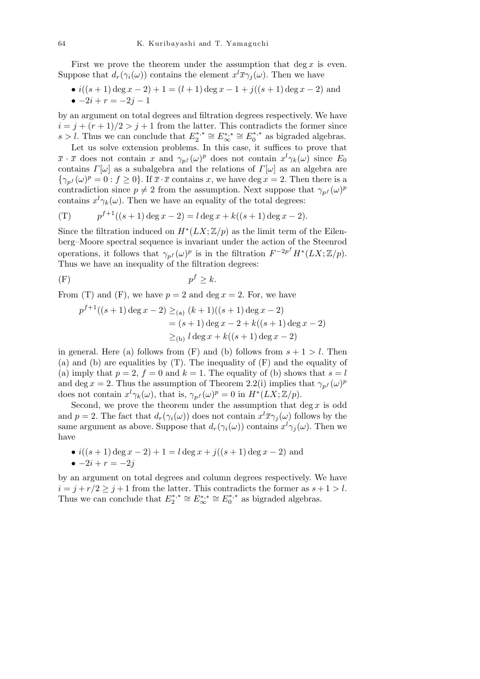First we prove the theorem under the assumption that deg x is even. Suppose that  $d_r(\gamma_i(\omega))$  contains the element  $x^l\overline{x}\gamma_j(\omega)$ . Then we have

• 
$$
i((s + 1) \deg x - 2) + 1 = (l + 1) \deg x - 1 + j((s + 1) \deg x - 2)
$$
 and  
\n•  $-2i + r = -2j - 1$ 

by an argument on total degrees and filtration degrees respectively. We have  $i = j + (r + 1)/2 > j + 1$  from the latter. This contradicts the former since  $s > l$ . Thus we can conclude that  $E_2^{*,*}$  $E_2^{*,*} \cong E_{\infty}^{*,*} \cong E_0^{*,*}$  $_{0}^{*,*}$  as bigraded algebras.

Let us solve extension problems. In this case, it suffices to prove that  $\overline{x} \cdot \overline{x}$  does not contain *x* and  $\gamma_{p}$ *f* (*ω*)<sup>*p*</sup> does not contain  $x^{l}\gamma_{k}(\omega)$  since  $E_{0}$ contains  $\Gamma[\omega]$  as a subalgebra and the relations of  $\Gamma[\omega]$  as an algebra are  $\{\gamma_{p}(\omega)^{p} = 0 : f \ge 0\}$ . If  $\bar{x} \cdot \bar{x}$  contains *x*, we have deg *x* = 2. Then there is a contradiction since  $p \neq 2$  from the assumption. Next suppose that  $\gamma_{p}(\omega)^p$ contains  $x^l \gamma_k(\omega)$ . Then we have an equality of the total degrees:

(T) 
$$
p^{f+1}((s+1)\deg x - 2) = l \deg x + k((s+1)\deg x - 2).
$$

Since the filtration induced on  $H^*(LX;\mathbb{Z}/p)$  as the limit term of the Eilenberg–Moore spectral sequence is invariant under the action of the Steenrod operations, it follows that  $\gamma_{p}$ *f* (*ω*)<sup>*p*</sup> is in the filtration  $F^{-2p^f}H^*(LX;\mathbb{Z}/p)$ . Thus we have an inequality of the filtration degrees:

$$
(F) \t\t\t p^f \ge k.
$$

From (T) and (F), we have  $p = 2$  and deg  $x = 2$ . For, we have

$$
p^{f+1}((s+1)\deg x - 2) \ge_{(a)} (k+1)((s+1)\deg x - 2)
$$
  
= (s+1)\deg x - 2 + k((s+1)\deg x - 2)  

$$
\ge_{(b)} l \deg x + k((s+1)\deg x - 2)
$$

in general. Here (a) follows from  $(F)$  and (b) follows from  $s + 1 > l$ . Then (a) and (b) are equalities by (T). The inequality of (F) and the equality of (a) imply that  $p = 2$ ,  $f = 0$  and  $k = 1$ . The equality of (b) shows that  $s = l$ and deg *x* = 2. Thus the assumption of Theorem 2.2(i) implies that  $\gamma_{p}(\omega)^p$ does not contain  $x^l \gamma_k(\omega)$ , that is,  $\gamma_{p^f}(\omega)^p = 0$  in  $H^*(LX; \mathbb{Z}/p)$ .

Second, we prove the theorem under the assumption that  $\deg x$  is odd and  $p = 2$ . The fact that  $d_r(\gamma_i(\omega))$  does not contain  $x^l \overline{x} \gamma_j(\omega)$  follows by the same argument as above. Suppose that  $d_r(\gamma_i(\omega))$  contains  $x^l\gamma_j(\omega)$ . Then we have

• 
$$
i((s + 1) \deg x - 2) + 1 = l \deg x + j((s + 1) \deg x - 2)
$$
 and  
\n•  $-2i + r = -2j$ 

by an argument on total degrees and column degrees respectively. We have  $i = j + r/2 \geq j + 1$  from the latter. This contradicts the former as  $s + 1 > l$ . Thus we can conclude that  $E_2^*$ <sup>\*</sup>  $E_2^{*,*} \cong E_{\infty}^{*,*} \cong E_0^{*,*}$  $_{0}^{*,*}$  as bigraded algebras.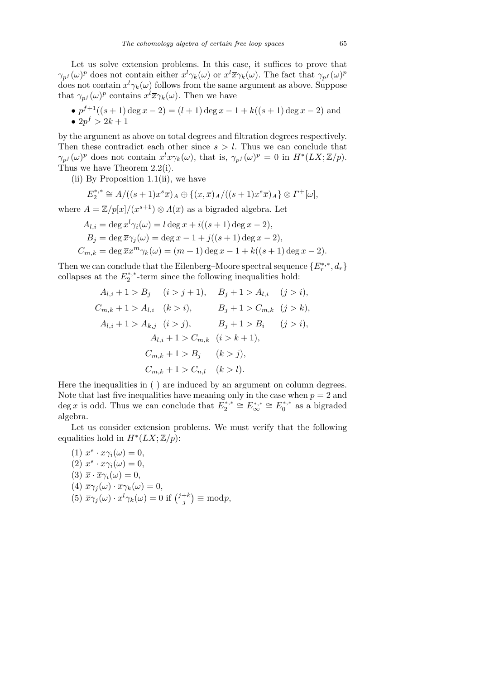Let us solve extension problems. In this case, it suffices to prove that *γ*<sub>*pf</sub>* (*ω*)<sup>*p*</sup> does not contain either  $x^l \gamma_k(\omega)$  or  $x^l \overline{x} \gamma_k(\omega)$ . The fact that  $\gamma_{p^f}(\omega)^p$ </sub> does not contain  $x^l \gamma_k(\omega)$  follows from the same argument as above. Suppose that  $\gamma_{p} f(\omega)^{p}$  contains  $x^{l} \overline{x} \gamma_{k}(\omega)$ . Then we have

•  $p^{f+1}((s+1)\deg x - 2) = (l+1)\deg x - 1 + k((s+1)\deg x - 2)$  and •  $2p^f > 2k + 1$ 

by the argument as above on total degrees and filtration degrees respectively. Then these contradict each other since *s > l*. Thus we can conclude that  $\gamma_{p}(\omega)^{p}$  does not contain  $x^{l}\overline{x}\gamma_{k}(\omega)$ , that is,  $\gamma_{p}(\omega)^{p} = 0$  in  $H^{*}(LX;\mathbb{Z}/p)$ . Thus we have Theorem 2.2(i).

(ii) By Proposition 1.1(ii), we have

$$
E_2^{*,*} \cong A/((s+1)x^s\overline{x})_A \oplus \{(x,\overline{x})_A/((s+1)x^s\overline{x})_A\} \otimes \Gamma^+[\omega],
$$

where  $A = \mathbb{Z}/p[x]/(x^{s+1}) \otimes A(\overline{x})$  as a bigraded algebra. Let

$$
A_{l,i} = \deg x^l \gamma_i(\omega) = l \deg x + i((s+1) \deg x - 2),
$$
  
\n
$$
B_j = \deg \overline{x} \gamma_j(\omega) = \deg x - 1 + j((s+1) \deg x - 2),
$$
  
\n
$$
C_{m,k} = \deg \overline{x} x^m \gamma_k(\omega) = (m+1) \deg x - 1 + k((s+1) \deg x - 2).
$$

Then we can conclude that the Eilenberg–Moore spectral sequence  $\{E_r^{*,*}, d_r\}$ collapses at the  $E_2^{*,*}$  $2^{*,*}$ -term since the following inequalities hold:

$$
A_{l,i} + 1 > B_j \t(i > j + 1), \t B_j + 1 > A_{l,i} \t(j > i),
$$
  
\n
$$
C_{m,k} + 1 > A_{l,i} \t(k > i), \t B_j + 1 > C_{m,k} \t(j > k),
$$
  
\n
$$
A_{l,i} + 1 > A_{k,j} \t(i > j), \t B_j + 1 > B_i \t(j > i),
$$
  
\n
$$
A_{l,i} + 1 > C_{m,k} \t(i > k + 1),
$$
  
\n
$$
C_{m,k} + 1 > B_j \t(k > j),
$$
  
\n
$$
C_{m,k} + 1 > C_{n,l} \t(k > l).
$$

Here the inequalities in ( ) are induced by an argument on column degrees. Note that last five inequalities have meaning only in the case when  $p = 2$  and  $\deg x$  is odd. Thus we can conclude that  $E_2^{*,*}$  $E_2^{*,*} \cong E_{\infty}^{*,*} \cong E_0^{*,*}$  $_0^{*,*}$  as a bigraded algebra.

Let us consider extension problems. We must verify that the following equalities hold in  $H^*(LX;\mathbb{Z}/p)$ :

(1)  $x^s \cdot x \gamma_i(\omega) = 0$ ,  $(2)$   $x^s \cdot \overline{x} \gamma_i(\omega) = 0,$ (3)  $\bar{x} \cdot \bar{x} \gamma_i(\omega) = 0$ , (4)  $\bar{x}\gamma_j(\omega) \cdot \bar{x}\gamma_k(\omega) = 0$ , (5)  $\overline{x}\gamma_j(\omega) \cdot x^l \gamma_k(\omega) = 0$  if  $\left(\frac{j+k}{j}\right)$ *j*  $\mathbf{r}$ *≡* mod*p*,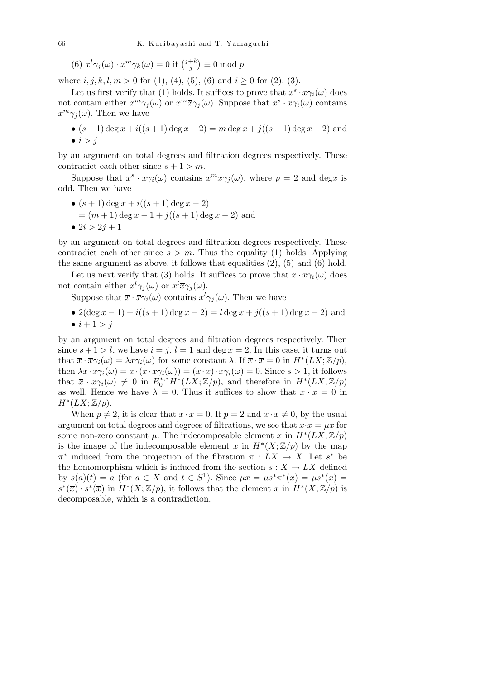(6)  $x^{l}\gamma_{j}(\omega) \cdot x^{m}\gamma_{k}(\omega) = 0$  if  $\binom{j+k}{j}$ *j*  $\mathbf{r}$ *≡* 0 mod *p*,

where  $i, j, k, l, m > 0$  for (1), (4), (5), (6) and  $i \ge 0$  for (2), (3).

Let us first verify that (1) holds. It suffices to prove that  $x^s \cdot x \gamma_i(\omega)$  does not contain either  $x^m \gamma_j(\omega)$  or  $x^m \overline{x} \gamma_j(\omega)$ . Suppose that  $x^s \cdot x \gamma_i(\omega)$  contains  $x^m \gamma_j(\omega)$ . Then we have

• 
$$
(s+1) \deg x + i((s+1) \deg x - 2) = m \deg x + j((s+1) \deg x - 2)
$$
 and  
\n•  $i > j$ 

by an argument on total degrees and filtration degrees respectively. These contradict each other since  $s + 1 > m$ .

Suppose that  $x^s \cdot x \gamma_i(\omega)$  contains  $x^m \overline{x} \gamma_j(\omega)$ , where  $p = 2$  and deg*x* is odd. Then we have

 $\bullet$  (*s* + 1) deg *x* + *i*((*s* + 1) deg *x* − 2)  $=(m+1)\deg x - 1 + j((s+1)\deg x - 2)$  and •  $2i > 2i + 1$ 

by an argument on total degrees and filtration degrees respectively. These contradict each other since  $s > m$ . Thus the equality (1) holds. Applying the same argument as above, it follows that equalities  $(2)$ ,  $(5)$  and  $(6)$  hold.

Let us next verify that (3) holds. It suffices to prove that  $\bar{x} \cdot \bar{x} \gamma_i(\omega)$  does not contain either  $x^l \gamma_j(\omega)$  or  $x^l \overline{x} \gamma_j(\omega)$ .

Suppose that  $\bar{x} \cdot \bar{x} \gamma_i(\omega)$  contains  $x^l \gamma_j(\omega)$ . Then we have

•  $2(\deg x - 1) + i((s + 1) \deg x - 2) = l \deg x + j((s + 1) \deg x - 2)$  and •  $i + 1 > j$ 

by an argument on total degrees and filtration degrees respectively. Then since  $s + 1 > l$ , we have  $i = j$ ,  $l = 1$  and deg  $x = 2$ . In this case, it turns out that  $\bar{x} \cdot \bar{x} \gamma_i(\omega) = \lambda x \gamma_i(\omega)$  for some constant  $\lambda$ . If  $\bar{x} \cdot \bar{x} = 0$  in  $H^*(LX; \mathbb{Z}/p)$ , then  $\lambda \bar{x} \cdot x \gamma_i(\omega) = \bar{x} \cdot (\bar{x} \cdot \bar{x} \gamma_i(\omega)) = (\bar{x} \cdot \bar{x}) \cdot \bar{x} \gamma_i(\omega) = 0$ . Since  $s > 1$ , it follows that  $\bar{x} \cdot x \gamma_i(\omega) \neq 0$  in  $E_0^{*,*} H^*(LX; \mathbb{Z}/p)$ , and therefore in  $H^*(LX; \mathbb{Z}/p)$ as well. Hence we have  $\lambda = 0$ . Thus it suffices to show that  $\bar{x} \cdot \bar{x} = 0$  in  $H^*(LX;\mathbb{Z}/p).$ 

When  $p \neq 2$ , it is clear that  $\bar{x} \cdot \bar{x} = 0$ . If  $p = 2$  and  $\bar{x} \cdot \bar{x} \neq 0$ , by the usual argument on total degrees and degrees of filtrations, we see that  $\bar{x}\cdot\bar{x} = \mu x$  for some non-zero constant  $\mu$ . The indecomposable element *x* in  $H^*(LX; \mathbb{Z}/p)$ is the image of the indecomposable element *x* in  $H^*(X; \mathbb{Z}/p)$  by the map  $\pi^*$  induced from the projection of the fibration  $\pi : LX \to X$ . Let  $s^*$  be the homomorphism which is induced from the section  $s: X \to LX$  defined by  $s(a)(t) = a$  (for  $a \in X$  and  $t \in S^1$ ). Since  $\mu x = \mu s^* \pi^* (x) = \mu s^* (x) =$  $s^*(\overline{x}) \cdot s^*(\overline{x})$  in  $H^*(X; \mathbb{Z}/p)$ , it follows that the element *x* in  $H^*(X; \mathbb{Z}/p)$  is decomposable, which is a contradiction.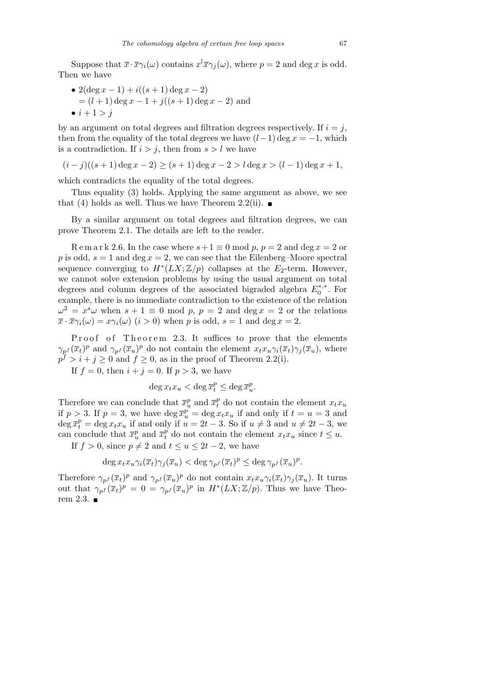Suppose that  $\bar{x} \cdot \bar{x} \gamma_i(\omega)$  contains  $x^l \bar{x} \gamma_j(\omega)$ , where  $p = 2$  and deg *x* is odd. Then we have

•  $2(\deg x - 1) + i((s + 1) \deg x - 2)$  $=(l + 1) \deg x - 1 + j((s + 1) \deg x - 2)$  and  $\bullet i + 1 > i$ 

by an argument on total degrees and filtration degrees respectively. If  $i = j$ , then from the equality of the total degrees we have  $(l-1)$  deg  $x = -1$ , which is a contradiction. If  $i > j$ , then from  $s > l$  we have

$$
(i-j)((s+1)\deg x - 2) \ge (s+1)\deg x - 2 > l\deg x > (l-1)\deg x + 1,
$$

which contradicts the equality of the total degrees.

Thus equality (3) holds. Applying the same argument as above, we see that (4) holds as well. Thus we have Theorem 2.2(ii).  $\blacksquare$ 

By a similar argument on total degrees and filtration degrees, we can prove Theorem 2.1. The details are left to the reader.

Remark 2.6. In the case where  $s+1 \equiv 0 \mod p$ ,  $p = 2$  and  $\deg x = 2$  or p is odd,  $s = 1$  and deg  $x = 2$ , we can see that the Eilenberg–Moore spectral sequence converging to  $H^*(LX; \mathbb{Z}/p)$  collapses at the  $E_2$ -term. However, we cannot solve extension problems by using the usual argument on total degrees and column degrees of the associated bigraded algebra  $E_0^*$ <sup>\*</sup>  $_{0}^{\ast,\ast}$ . For example, there is no immediate contradiction to the existence of the relation  $\omega^2 = x^s \omega$  when  $s + 1 \equiv 0 \mod p$ ,  $p = 2$  and deg  $x = 2$  or the relations  $\overline{x} \cdot \overline{x} \gamma_i(\omega) = x \gamma_i(\omega)$  (*i* > 0) when *p* is odd, *s* = 1 and deg *x* = 2.

Proof of Theorem 2.3. It suffices to prove that the elements  $\gamma_{p}(\overline{x}_{t})^{p}$  and  $\gamma_{p}(\overline{x}_{u})^{p}$  do not contain the element  $x_{t}x_{u}\gamma_{i}(\overline{x}_{t})\gamma_{j}(\overline{x}_{u})$ , where  $p^f > i + j \geq 0$  and  $f \geq 0$ , as in the proof of Theorem 2.2(i).

If  $f = 0$ , then  $i + j = 0$ . If  $p > 3$ , we have

$$
\deg x_t x_u < \deg \overline{x}_t^p \leq \deg \overline{x}_u^p.
$$

Therefore we can conclude that  $\bar{x}_u^p$  and  $\bar{x}_t^p$  do not contain the element  $x_t x_u$ if  $p > 3$ . If  $p = 3$ , we have  $\deg \overline{x}_u^p = \deg x_t x_u$  if and only if  $t = u = 3$  and  $\deg \overline{x}_t^p = \deg x_t x_u$  if and only if  $u = 2t - 3$ . So if  $u \neq 3$  and  $u \neq 2t - 3$ , we can conclude that  $\overline{x}_u^p$  and  $\overline{x}_t^p$  do not contain the element  $x_t x_u$  since  $t \leq u$ .

If  $f > 0$ , since  $p \neq 2$  and  $t \leq u \leq 2t - 2$ , we have

$$
\deg x_t x_u \gamma_i(\overline{x}_t) \gamma_j(\overline{x}_u) < \deg \gamma_{p^f}(\overline{x}_t)^p \leq \deg \gamma_{p^f}(\overline{x}_u)^p.
$$

Therefore  $\gamma_{p}(\bar{x}_t)^p$  and  $\gamma_{p}(\bar{x}_u)^p$  do not contain  $x_t x_u \gamma_i(\bar{x}_t) \gamma_j(\bar{x}_u)$ . It turns out that  $\gamma_{p}^{f}(\overline{x}_{t})^{p} = 0 = \gamma_{p}^{f}(\overline{x}_{u})^{p}$  in  $H^{*}(LX;\mathbb{Z}/p)$ . Thus we have Theorem 2.3.  $\blacksquare$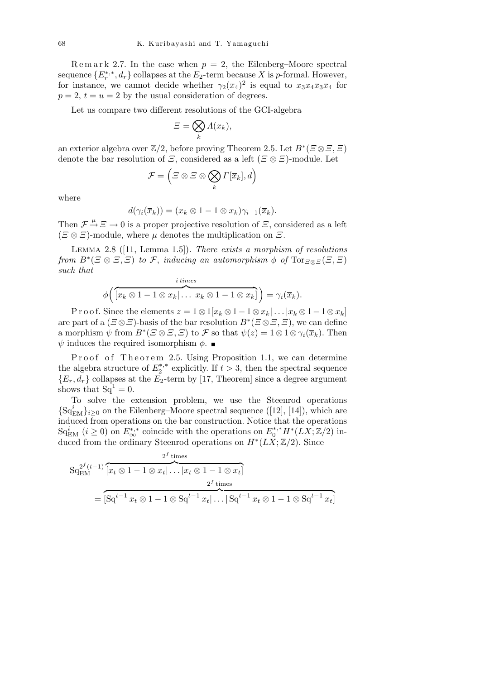Remark 2.7. In the case when  $p = 2$ , the Eilenberg–Moore spectral sequence  ${E_r^{*, *}, d_r}$  collapses at the  $E_2$ -term because *X* is *p*-formal. However, for instance, we cannot decide whether  $\gamma_2(\bar{x}_4)^2$  is equal to  $x_3x_4\bar{x}_3\bar{x}_4$  for  $p = 2$ ,  $t = u = 2$  by the usual consideration of degrees.

Let us compare two different resolutions of the GCI-algebra

$$
\varXi = \bigotimes_k \varLambda(x_k),
$$

an exterior algebra over  $\mathbb{Z}/2$ , before proving Theorem 2.5. Let  $B^*(\Xi \otimes \Xi, \Xi)$ denote the bar resolution of *Ξ*, considered as a left (*Ξ ⊗ Ξ*)-module. Let  $\overline{\phantom{a}}$ 

$$
\mathcal{F} = \left( \varXi \otimes \varXi \otimes \bigotimes_k \varGamma[\overline{x}_k], d \right)
$$

where

$$
d(\gamma_i(\overline{x}_k))=(x_k\otimes 1-1\otimes x_k)\gamma_{i-1}(\overline{x}_k).
$$

Then  $\mathcal{F} \stackrel{\mu}{\rightarrow} \mathcal{E} \rightarrow 0$  is a proper projective resolution of  $\mathcal{E}$ , considered as a left  $(E \otimes E)$ -module, where *µ* denotes the multiplication on *Ξ*.

Lemma 2.8 ([11, Lemma 1.5]). *There exists a morphism of resolutions from*  $B^*(\Xi \otimes \Xi, \Xi)$  *to*  $\mathcal{F}$ , *inducing an automorphism*  $\phi$  *of*  $\text{Tor}_{\Xi \otimes \Xi}(\Xi, \Xi)$ *such that*

$$
\phi\bigg(\overbrace{\left[x_k \otimes 1 - 1 \otimes x_k\right] \dots \left|x_k \otimes 1 - 1 \otimes x_k\right]}^{\text{times}}\bigg) = \gamma_i(\overline{x}_k).
$$

*i times*

Proof. Since the elements  $z = 1 \otimes 1[x_k \otimes 1 - 1 \otimes x_k] \dots |x_k \otimes 1 - 1 \otimes x_k]$ are part of a  $(\text{ }E \otimes \text{ }E)$ -basis of the bar resolution  $B^*(\text{ }E \otimes \text{ }E,\text{ }E)$ , we can define a morphism  $\psi$  from  $B^*(\Xi \otimes \Xi, \Xi)$  to  $\mathcal F$  so that  $\psi(z) = 1 \otimes 1 \otimes \gamma_i(\overline{x}_k)$ . Then  $\psi$  induces the required isomorphism  $\phi$ .

Proof of Theorem 2.5. Using Proposition 1.1, we can determine the algebra structure of  $E_2^*$ <sup>\*</sup>  $2^{*,*}$  explicitly. If  $t > 3$ , then the spectral sequence  ${E_r, d_r}$  collapses at the  $E_2$ -term by [17, Theorem] since a degree argument shows that  $Sq^1 = 0$ .

To solve the extension problem, we use the Steenrod operations  ${Sq<sup>i</sup><sub>EM</sub>}<sub>i≥0</sub>$  on the Eilenberg–Moore spectral sequence ([12], [14]), which are induced from operations on the bar construction. Notice that the operations  $\operatorname{Sq}^i_{\text{EM}}$  (*i*  $\geq$  0) on  $E^{*,*}_{\infty}$  coincide with the operations on  $E^{*,*}_0 H^*(LX;\mathbb{Z}/2)$  induced from the ordinary Steenrod operations on *H<sup>∗</sup>* (*LX*; Z*/*2). Since

$$
Sq_{\text{EM}}^{2^{f}(t-1)}\overbrace{\left[x_{t} \otimes 1 - 1 \otimes x_{t}\right] \dots \left|x_{t} \otimes 1 - 1 \otimes x_{t}\right]}^{2^{f} \text{ times}}
$$
\n
$$
= \overbrace{\left[Sq^{t-1} \, x_{t} \otimes 1 - 1 \otimes Sq^{t-1} \, x_{t}\right] \dots \left|Sq^{t-1} \, x_{t} \otimes 1 - 1 \otimes Sq^{t-1} \, x_{t}\right]}^{2^{f} \text{ times}}
$$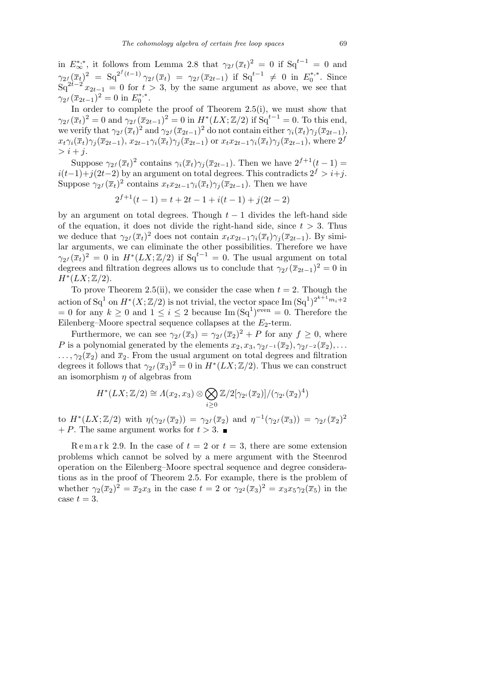in  $E^{*,*}_{\infty}$ , it follows from Lemma 2.8 that  $\gamma_{2} f(\overline{x}_t)^2 = 0$  if  $Sq^{t-1} = 0$  and  $\gamma_{2f}(\overline{x}_{t})^{2} = \text{Sq}^{2^{f}(t-1)} \gamma_{2f}(\overline{x}_{t}) = \gamma_{2f}(\overline{x}_{2t-1}) \text{ if } \text{Sq}^{t-1} \neq 0 \text{ in } E_{0}^{*,*}$  $_{0}^{\ast,\ast}$ . Since  $Sq^{2t-2}x_{2t-1} = 0$  for  $t > 3$ , by the same argument as above, we see that  $\gamma_{2} f(\overline{x}_{2t-1})^2 = 0$  in  $E_0^{*,*}$  $0^{*,*}$ .

In order to complete the proof of Theorem 2.5(i), we must show that  $\gamma_{2} f(\overline{x}_t)^2 = 0$  and  $\gamma_{2} f(\overline{x}_{2t-1})^2 = 0$  in  $H^*(LX; \mathbb{Z}/2)$  if  $Sq^{t-1} = 0$ . To this end, we verify that  $\gamma_{2} f(\overline{x}_t)^2$  and  $\gamma_{2} f(\overline{x}_{2t-1})^2$  do not contain either  $\gamma_i(\overline{x}_t) \gamma_j(\overline{x}_{2t-1}),$  $x_t \gamma_i(\overline{x}_t) \gamma_i(\overline{x}_{2t-1}), x_{2t-1} \gamma_i(\overline{x}_t) \gamma_i(\overline{x}_{2t-1})$  or  $x_t x_{2t-1} \gamma_i(\overline{x}_t) \gamma_i(\overline{x}_{2t-1}),$  where  $2^f$  $> i + i$ .

Suppose  $\gamma_{2} f(\overline{x}_t)^2$  contains  $\gamma_i(\overline{x}_t) \gamma_j(\overline{x}_{2t-1})$ . Then we have  $2^{f+1}(t-1)$  =  $i(t-1)+j(2t-2)$  by an argument on total degrees. This contradicts  $2^{f} > i+j$ . Suppose  $\gamma_{2} f(\overline{x}_t)^2$  contains  $x_t x_{2t-1} \gamma_i(\overline{x}_t) \gamma_j(\overline{x}_{2t-1})$ . Then we have

$$
2^{f+1}(t-1) = t + 2t - 1 + i(t - 1) + j(2t - 2)
$$

by an argument on total degrees. Though  $t-1$  divides the left-hand side of the equation, it does not divide the right-hand side, since  $t > 3$ . Thus we deduce that  $\gamma_{2} f(\overline{x}_t)^2$  does not contain  $x_t x_{2t-1} \gamma_i(\overline{x}_t) \gamma_j(\overline{x}_{2t-1})$ . By similar arguments, we can eliminate the other possibilities. Therefore we have  $\gamma_{2}(\overline{x}_{t})^2 = 0$  in  $H^*(LX; \mathbb{Z}/2)$  if  $Sq^{t-1} = 0$ . The usual argument on total degrees and filtration degrees allows us to conclude that  $\gamma_{2} f(\overline{x}_{2t-1})^2 = 0$  in  $H^*(LX;\mathbb{Z}/2).$ 

To prove Theorem 2.5(ii), we consider the case when  $t = 2$ . Though the action of  $Sq^1$  on  $H^*(X; \mathbb{Z}/2)$  is not trivial, the vector space Im  $(Sq^1)^{2^{k+1}m_i+2}$  $= 0$  for any  $k \geq 0$  and  $1 \leq i \leq 2$  because Im  $(Sq^{1})^{even} = 0$ . Therefore the Eilenberg–Moore spectral sequence collapses at the  $E_2$ -term.

Furthermore, we can see  $\gamma_{2}(\bar{x}_3) = \gamma_{2}(\bar{x}_2)^2 + P$  for any  $f \geq 0$ , where *P* is a polynomial generated by the elements  $x_2, x_3, \gamma_{2^{f-1}}(\overline{x}_2), \gamma_{2^{f-2}}(\overline{x}_2), \ldots$  $\ldots$ ,  $\gamma_2(\bar{x}_2)$  and  $\bar{x}_2$ . From the usual argument on total degrees and filtration degrees it follows that  $\gamma_{2}(\bar{x}_3)^2 = 0$  in  $H^*(LX;\mathbb{Z}/2)$ . Thus we can construct an isomorphism *η* of algebras from

$$
H^*(LX;\mathbb{Z}/2) \cong \Lambda(x_2,x_3) \otimes \bigotimes_{i\geq 0} \mathbb{Z}/2[\gamma_{2^i}(\overline{x}_2)]/(\gamma_{2^i}(\overline{x}_2)^4)
$$

to  $H^*(LX;\mathbb{Z}/2)$  with  $\eta(\gamma_{2^f}(\bar{x}_2)) = \gamma_{2^f}(\bar{x}_2)$  and  $\eta^{-1}(\gamma_{2^f}(\bar{x}_3)) = \gamma_{2^f}(\bar{x}_2)^2$  $+ P$ . The same argument works for  $t > 3$ .

Remark 2.9. In the case of  $t = 2$  or  $t = 3$ , there are some extension problems which cannot be solved by a mere argument with the Steenrod operation on the Eilenberg–Moore spectral sequence and degree considerations as in the proof of Theorem 2.5. For example, there is the problem of whether  $\gamma_2(\overline{x}_2)^2 = \overline{x}_2 x_3$  in the case  $t = 2$  or  $\gamma_{2^2}(\overline{x}_3)^2 = x_3 x_5 \gamma_2(\overline{x}_5)$  in the case  $t=3$ .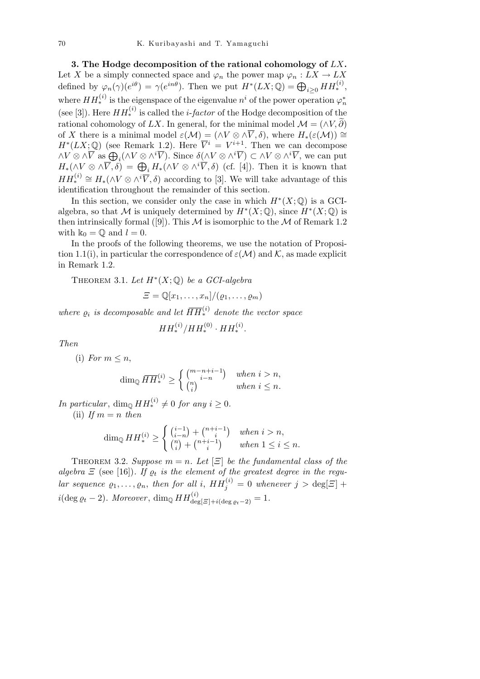**3. The Hodge decomposition of the rational cohomology of** *LX***.** Let *X* be a simply connected space and  $\varphi_n$  the power map  $\varphi_n : LX \to LX$ defined by  $\varphi_n(\gamma)(e^{i\theta}) = \gamma(e^{in\theta})$ . Then we put  $H^*(LX; \mathbb{Q}) = \bigoplus_{i \geq 0} HH_*^{(i)}$ , where  $HH_*^{(i)}$  is the eigenspace of the eigenvalue  $n^i$  of the power operation  $\varphi_n^*$ (see [3]). Here  $HH_*^{(i)}$  is called the *i*-*factor* of the Hodge decomposition of the rational cohomology of *LX*. In general, for the minimal model  $\mathcal{M} = (\land V, \widetilde{\partial})$ of *X* there is a minimal model  $\varepsilon(\mathcal{M}) = (\wedge V \otimes \wedge \overline{V}, \delta)$ , where  $H_*(\varepsilon(\mathcal{M})) \cong$  $H^*(LX; \mathbb{Q})$  (see Remark 1.2). Here  $\overline{V}^i = V^{i+1}$ . Then we can decompose  $H^1(LX; \mathbb{Q})$  (see Remark 1.2). Here  $V = V^{\perp}$ . Then we can decompose<br> $\wedge V \otimes \wedge \overline{V}$  as  $\bigoplus_i (\wedge V \otimes \wedge^i \overline{V})$ . Since  $\delta(\wedge V \otimes \wedge^i \overline{V}) \subset \wedge V \otimes \wedge^i \overline{V}$ , we can put  $H_*(\wedge V \otimes \wedge \overline{V}, \delta) = \bigoplus_i H_*(\wedge V \otimes$  $HH_*^{(i)} \cong H_*(\wedge V \otimes \wedge^i \overline{V}, \delta)$  according to [3]. We will take advantage of this identification throughout the remainder of this section.

In this section, we consider only the case in which  $H^*(X; \mathbb{Q})$  is a GCIalgebra, so that *M* is uniquely determined by  $H^*(X; \mathbb{Q})$ , since  $H^*(X; \mathbb{Q})$  is then intrinsically formal ([9]). This  $M$  is isomorphic to the  $M$  of Remark 1.2 with  $\mathbb{k}_0 = \mathbb{Q}$  and  $l = 0$ .

In the proofs of the following theorems, we use the notation of Proposition 1.1(i), in particular the correspondence of  $\varepsilon(\mathcal{M})$  and  $\mathcal{K}$ , as made explicit in Remark 1.2.

THEOREM 3.1. Let  $H^*(X; \mathbb{Q})$  be a GCI-algebra

$$
\Xi = \mathbb{Q}[x_1,\ldots,x_n]/(\varrho_1,\ldots,\varrho_m)
$$

*where*  $\varrho_i$  *is decomposable and let*  $\overline{HH}^{(i)}_*$  *denote the vector space* 

$$
HH^{(i)}_* / HH^{(0)}_* \cdot HH^{(i)}_*.
$$

*Then*

(i) *For*  $m \leq n$ ,

$$
\dim_{\mathbb{Q}} \overline{HH}_{*}^{(i)} \ge \begin{cases} {m-n+i-1 \choose i-n} & when \ i > n, \\ {n \choose i} & when \ i \le n. \end{cases}
$$

*In particular*,  $\dim_{\mathbb{Q}} HH_*^{(i)} \neq 0$  *for any*  $i \geq 0$ *.* 

(ii) If  $m = n$  then

$$
\dim_{\mathbb{Q}} HH^{(i)}_{*} \ge \begin{cases} \binom{i-1}{i-n} + \binom{n+i-1}{i} & when \ i > n, \\ \binom{n}{i} + \binom{n+i-1}{i} & when \ 1 \le i \le n. \end{cases}
$$

THEOREM 3.2. *Suppose*  $m = n$ . Let  $[\Xi]$  be the fundamental class of the algebra  $\Xi$  (see [16]). If  $\rho_t$  is the element of the greatest degree in the regu- $\int$  *lar sequence*  $\varrho_1, \ldots, \varrho_n$ , *then for all i*,  $HH_j^{(i)} = 0$  *whenever*  $j > \deg[\Xi] + \deg[\Xi]$  $i$ (deg  $\varrho_t$  *−* 2)*.* Moreover, dim<sub>Q</sub>  $HH_{\text{deg}[\Xi]+i(\text{deg } \varrho_t-2)}^{(i)} = 1$ *.*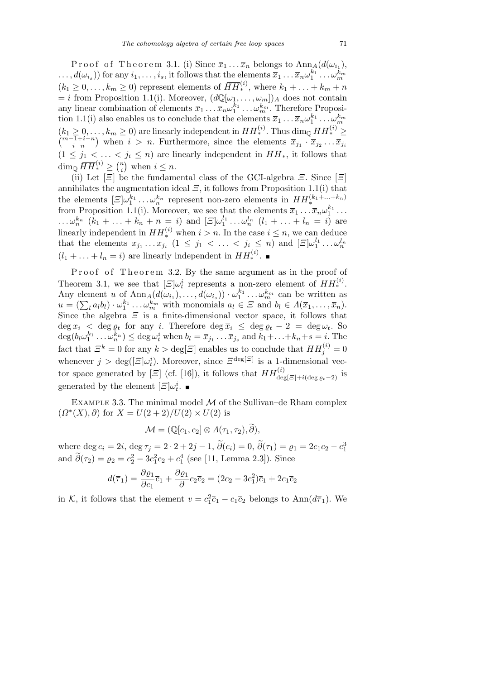Proof of Theorem 3.1. (i) Since  $\overline{x}_1 \ldots \overline{x}_n$  belongs to  $\text{Ann}_A(d(\omega_{i_1}),$  $\ldots$ ,  $d(\omega_{i_s})$  for any  $i_1,\ldots,i_s,$  it follows that the elements  $\overline{x}_1\ldots\overline{x}_n\omega_1^{k_1}\ldots\omega_m^{k_m}$  $(k_1 \geq 0, \ldots, k_m \geq 0)$  represent elements of  $\overline{HH}^{(i)}_*$ , where  $k_1 + \ldots + k_m + n$  $= i$  from Proposition 1.1(i). Moreover,  $(d\mathbb{Q}[\omega_1, \ldots, \omega_m])_A$  does not contain any linear combination of elements  $\bar{x}_1 \ldots \bar{x}_n \omega_1^{k_1} \ldots \omega_m^{k_m}$ . Therefore Proposition 1.1(i) also enables us to conclude that the elements  $\bar{x}_1 \ldots \bar{x}_n \omega_1^{k_1} \ldots \omega_m^{k_m}$  $(k_1 \geq 0, \ldots, k_m \geq 0)$  are linearly independent in  $\overline{HH}^{(i)}_*$ . Thus  $\dim_{\mathbb{Q}} \overline{HH}^{(i)}_* \geq$ <br>  $\frac{m-1+i-n}{m}$ , when  $i > n$ . Eurthermore, since the elements  $\overline{x} = \overline{x}$ ,  $\overline{x}$ *i−n*  $\mathbf{C}$ when  $i > n$ . Furthermore, since the elements  $\overline{x}_{j_1} \cdot \overline{x}_{j_2} \dots \overline{x}_{j_i}$  $(1 \leq j_1 < \ldots < j_i \leq n)$  are linearly independent in  $HH_*$ , it follows that  $\dim_{\mathbb{Q}} \overline{HH}^{(i)}_* \geq \binom{n}{i}$  $\binom{n}{i}$  when  $i \leq n$ .

(ii) Let  $[\Xi]$  be the fundamental class of the GCI-algebra  $\Xi$ . Since  $[\Xi]$ annihilates the augmentation ideal  $\bar{z}$ , it follows from Proposition 1.1(i) that the elements  $[\Xi]\omega_1^{k_1} \dots \omega_n^{k_n}$  represent non-zero elements in  $HH^{(k_1+\dots+k_n)}_*$  from Proposition 1.1(i). Moreover, we see that the elements  $\overline{x}_1 \dots \overline{x}_n \omega_1^{k_1} \dots$ ... $\omega_n^{k_n}$   $(k_1 + ... + k_n + n = i)$  and  $[\Xi]\omega_1^{l_1} ... \omega_n^{l_n}$   $(l_1 + ... + l_n = i)$  are linearly independent in  $HH_*^{(i)}$  when  $i > n$ . In the case  $i \leq n$ , we can deduce that the elements  $\overline{x}_{j_1} \ldots \overline{x}_{j_i}$   $(1 \leq j_1 < \ldots < j_i \leq n)$  and  $[\Xi] \omega_1^{l_1} \ldots \omega_n^{l_n}$  $(l_1 + \ldots + l_n = i)$  are linearly independent in  $HH_*^{(i)}$ .

Proof of Theorem 3.2. By the same argument as in the proof of Theorem 3.1, we see that  $[\Xi]\omega_i^i$  represents a non-zero element of  $HH_*^{(i)}$ . Any element *u* of  $\text{Ann}_A(d(\omega_{i_1}), \ldots, d(\omega_{i_s})) \cdot \omega_1^{k_1} \ldots \omega_m^{k_m}$  can be written as Any element u of Ann<sub>A</sub>( $a(\omega_{i_1}), \ldots, a(\omega_{i_s})) \cdot \omega_1^{\bullet} \ldots \omega_m^{\bullet m}$  can be written as  $u = (\sum_i a_i b_i) \cdot \omega_1^{k_1} \ldots \omega_m^{k_m}$  with monomials  $a_l \in \Xi$  and  $b_l \in \Lambda(\overline{x}_1, \ldots, \overline{x}_n)$ . Since the algebra  $\Xi$  is a finite-dimensional vector space, it follows that  $\deg x_i$  <  $\deg \varrho_t$  for any *i*. Therefore  $\deg \overline{x}_i \leq \deg \varrho_t - 2 = \deg \omega_t$ . So  $\deg(b_l\omega_1^{k_1}\dots\omega_n^{k_n}) \leq \deg \omega_t^i$  when  $b_l = \overline{x}_{j_1}\dots\overline{x}_{j_s}$  and  $k_1 + \dots + k_n + s = i$ . The fact that  $\mathcal{Z}^k = 0$  for any  $k > \text{deg}[\mathcal{Z}]$  enables us to conclude that  $HH_j^{(i)} = 0$ whenever  $j > \deg([E]\omega_t^i)$ . Moreover, since  $E^{\deg[E]}$  is a 1-dimensional vector space generated by  $[\Xi]$  (cf. [16]), it follows that  $HH_{\text{deg}[\Xi]+i(\text{deg} g_t-2)}^{(i)}$  is generated by the element  $[\Xi]\omega_t^i$ .

Example 3.3. The minimal model *M* of the Sullivan–de Rham complex  $(Q^*(X), \partial)$  for  $X = U(2 + 2)/U(2) \times U(2)$  is

$$
\mathcal{M} = (\mathbb{Q}[c_1, c_2] \otimes \varLambda(\tau_1, \tau_2), \widetilde{\partial}),
$$

where  $\deg c_i = 2i$ ,  $\deg \tau_j = 2 \cdot 2 + 2j - 1$ ,  $\tilde{\partial}(c_i) = 0$ ,  $\tilde{\partial}(\tau_1) = \varrho_1 = 2c_1c_2 - c_1^3$ and  $\tilde{\partial}(\tau_2) = \varrho_2 = c_2^2 - 3c_1^2c_2 + c_1^4$  (see [11, Lemma 2.3]). Since

$$
d(\overline{\tau}_1) = \frac{\partial \varrho_1}{\partial c_1}\overline{c}_1 + \frac{\partial \varrho_1}{\partial c_2}\overline{c}_2 = (2c_2 - 3c_1^2)\overline{c}_1 + 2c_1\overline{c}_2
$$

in *K*, it follows that the element  $v = c_1^2 \overline{c}_1 - c_1 \overline{c}_2$  belongs to Ann $(d\overline{\tau}_1)$ . We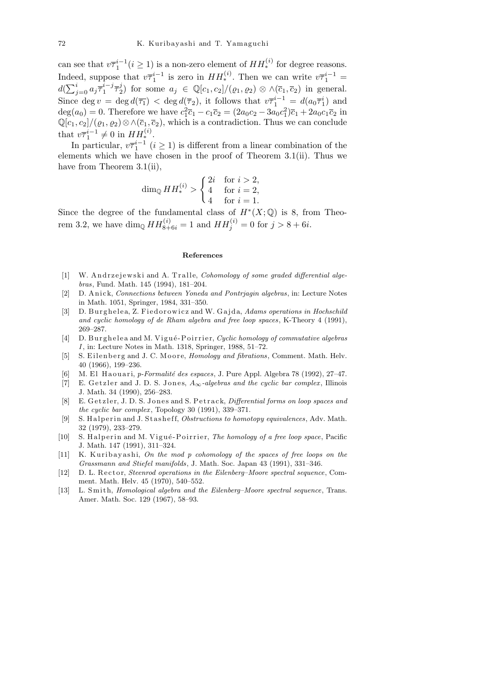can see that  $v\overline{\tau}_1^{i-1}$  ( $i \geq 1$ ) is a non-zero element of  $HH_*^{(i)}$  for degree reasons. Indeed, suppose that  $v\overline{\tau}_1^{i-1}$  is zero in  $HH_*^{(i)}$ . Then we can write  $v\overline{\tau}_1^{i-1}$  =  $d(\sum_{i}^{i}$  $i_{j=0} a_j \overline{\tau}_1^{i-j}$  $i-j\overline{\tau}^j_2$ 2) for some  $a_j \in \mathbb{Q}[c_1, c_2]/(\varrho_1, \varrho_2) \otimes \wedge(\overline{c}_1, \overline{c}_2)$  in general. Since deg  $v = \deg d(\overline{\tau_1}) < \deg d(\overline{\tau_2})$ , it follows that  $v\overline{\tau_1}^{i-1} = d(a_0\overline{\tau_1}^i)$  and deg( $a_0$ ) = 0. Therefore we have  $c_1^2 \bar{c}_1 - c_1 \bar{c}_2 = (2a_0c_2 - 3a_0c_1^2)\bar{c}_1 + 2a_0c_1\bar{c}_2$  in  $\mathbb{Q}[c_1, c_2]/(\varrho_1, \varrho_2) \otimes \wedge(\overline{c}_1, \overline{c}_2)$ , which is a contradiction. Thus we can conclude that  $v\overline{\tau}_1^{i-1} \neq 0$  in  $HH_*^{(i)}$ .

In particular,  $v\overline{\tau}_1^{i-1}$  (*i* ≥ 1) is different from a linear combination of the elements which we have chosen in the proof of Theorem 3.1(ii). Thus we have from Theorem 3.1(ii),

$$
\dim_{\mathbb{Q}} HH_*^{(i)} > \begin{cases} 2i & \text{for } i > 2, \\ 4 & \text{for } i = 2, \\ 4 & \text{for } i = 1. \end{cases}
$$

Since the degree of the fundamental class of  $H^*(X; \mathbb{Q})$  is 8, from Theorem 3.2, we have  $\dim_{\mathbb{Q}} H H_{8+6i}^{(i)} = 1$  and  $HH_j^{(i)} = 0$  for  $j > 8+6i$ .

## **References**

- [1] W. Andrzejewski and A. Tralle, *Cohomology of some graded differential algebras*, Fund. Math. 145 (1994), 181–204.
- [2] D. A ni c k, *Connections between Yoneda and Pontrjagin algebras*, in: Lecture Notes in Math. 1051, Springer, 1984, 331–350.
- [3] D. Burghelea, Z. Fied or owicz and W. Gajda, *Adams operations in Hochschild and cyclic homology of de Rham algebra and free loop spaces*, K-Theory 4 (1991), 269–287.
- [4] D. Burghelea and M. Vigué-Poirrier, *Cyclic homology of commutative algebras I*, in: Lecture Notes in Math. 1318, Springer, 1988, 51–72.
- [5] S. Eilenberg and J. C. Moore, *Homology and fibrations*, Comment. Math. Helv. 40 (1966), 199–236.
- [6] M. El Haouari, *p-Formalité des espaces*, J. Pure Appl. Algebra 78 (1992), 27–47.
- [7] E. Getzler and J. D. S. Jones,  $A_{\infty}$ -algebras and the cyclic bar complex, Illinois J. Math. 34 (1990), 256–283.
- [8] E. Getzler, J. D. S. Jones and S. Petrack, *Differential forms on loop spaces and the cyclic bar complex* , Topology 30 (1991), 339–371.
- [9] S. Halperin and J. Stasheff, *Obstructions to homotopy equivalences*, Adv. Math. 32 (1979), 233–279.
- [10] S. Halperin and M. Vigué-Poirrier, *The homology of a free loop space*, Pacific J. Math. 147 (1991), 311–324.
- [11] K. Kuribayashi, *On the mod p cohomology of the spaces of free loops on the Grassmann and Stiefel manifolds*, J. Math. Soc. Japan 43 (1991), 331–346.
- [12] D. L. Rector, *Steenrod operations in the Eilenberg–Moore spectral sequence*, Comment. Math. Helv. 45 (1970), 540–552.
- [13] L. Smith, *Homological algebra and the Eilenberg–Moore spectral sequence*. Trans. Amer. Math. Soc. 129 (1967), 58–93.